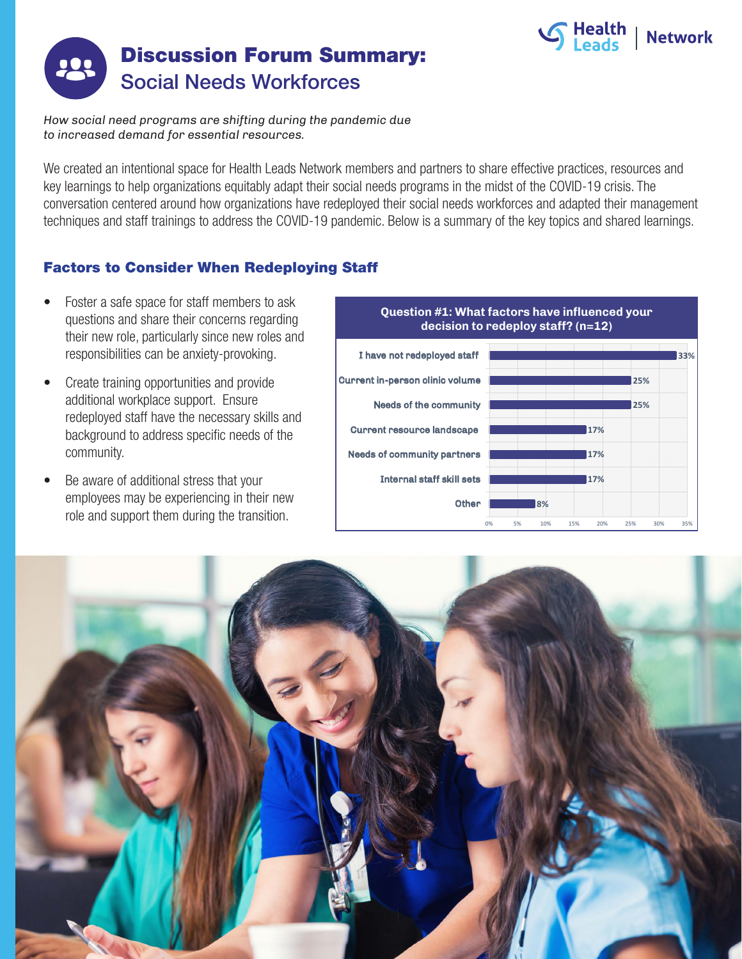



*How social need programs are shifting during the pandemic due to increased demand for essential resources.*

We created an intentional space for Health Leads Network members and partners to share effective practices, resources and key learnings to help organizations equitably adapt their social needs programs in the midst of the COVID-19 crisis. The conversation centered around how organizations have redeployed their social needs workforces and adapted their management techniques and staff trainings to address the COVID-19 pandemic. Below is a summary of the key topics and shared learnings.

## Factors to Consider When Redeploying Staff

- Foster a safe space for staff members to ask questions and share their concerns regarding their new role, particularly since new roles and responsibilities can be anxiety-provoking.
- Create training opportunities and provide additional workplace support. Ensure redeployed staff have the necessary skills and background to address specific needs of the community.
- Be aware of additional stress that your employees may be experiencing in their new role and support them during the transition.